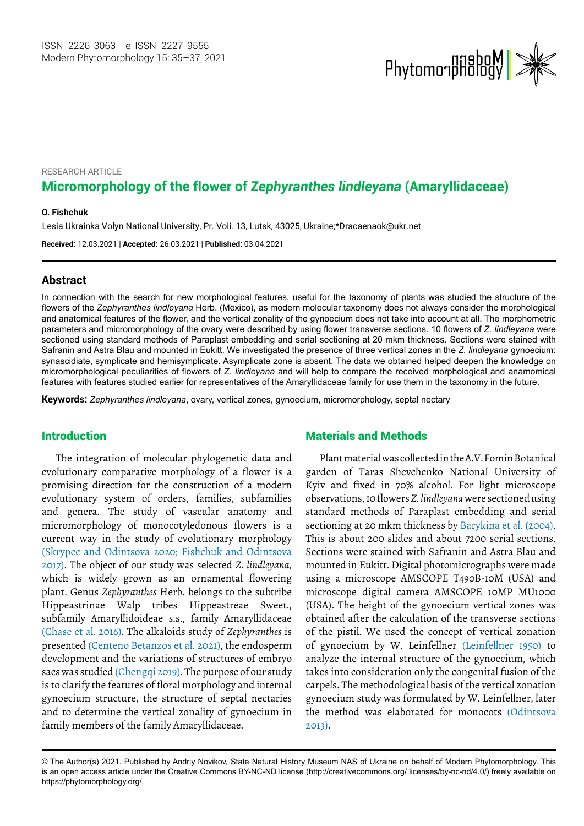

# RESEARCH ARTICLE **Micromorphology of the flower of** *Zephyranthes lindleyana* **(Amaryllidaceae)**

#### <sup>1</sup> **O. Fishchuk**

Lesia Ukrainka Volyn National University, Pr. Voli. 13, Lutsk, 43025, Ukraine; \*[Dracaenaok@ukr.net](mailto:Dracaenaok@ukr.net)

**Received:** 12.03.2021 | **Accepted:** 26.03.2021 | **Published:** 03.04.2021

#### **Abstract**

In connection with the search for new morphological features, useful for the taxonomy of plants was studied the structure of the flowers of the *Zephyranthes lindleyana* Herb. (Mexico), as modern molecular taxonomy does not always consider the morphological and anatomical features of the flower, and the vertical zonality of the gynoecium does not take into account at all. The morphometric parameters and micromorphology of the ovary were described by using flower transverse sections. 10 flowers of *Z. lindleyana* were sectioned using standard methods of Paraplast embedding and serial sectioning at 20 mkm thickness. Sections were stained with Safranin and Astra Blau and mounted in Eukitt. We investigated the presence of three vertical zones in the *Z. lindleyana* gynoecium: synascidiate, symplicate and hemisymplicate. Asymplicate zone is absent. The data we obtained helped deepen the knowledge on micromorphological peculiarities of flowers of *Z. lindleyana* and will help to compare the received morphological and anamomical features with features studied earlier for representatives of the Amaryllidaceae family for use them in the taxonomy in the future.

**Keywords:** *Zephyranthes lindleyana*, ovary, vertical zones, gynoecium, micromorphology, septal nectary

# Introduction

The integration of molecular phylogenetic data and evolutionary comparative morphology of a flower is a promising direction for the construction of a modern evolutionary system of orders, families, subfamilies and genera. The study of vascular anatomy and micromorphology of monocotyledonous flowers is a current way in the study of evolutionary morphology (Skrypec and Odintsova 2020; Fishchuk and Odintsova 2017). The object of our study was selected *Z. lindleyana*, which is widely grown as an ornamental flowering plant. Genus *Zephyranthes* Herb. belongs to the subtribe Hippeastrinae Walp tribes Hippeastreae Sweet., subfamily Amaryllidoideae s.s., family Amaryllidaceae (Chase et al. 2016). The alkaloids study of *Zephyranthes* is presented (Centeno Betanzos et al. 2021), the endosperm development and the variations of structures of embryo sacs was studied (Chengqi 2019). The purpose of our study is to clarify the features of floral morphology and internal gynoecium structure, the structure of septal nectaries and to determine the vertical zonality of gynoecium in family members of the family Amaryllidaceae.

### Materials and Methods

Plant material was collected in the A.V. Fomin Botanical garden of Taras Shevchenko National University of Kyiv and fixed in 70% alcohol. For light microscope observations, 10 flowers *Z. lindleyana* were sectioned using standard methods of Paraplast embedding and serial sectioning at 20 mkm thickness by Barykina et al. (2004). This is about 200 slides and about 7200 serial sections. Sections were stained with Safranin and Astra Blau and mounted in Eukitt. Digital photomicrographs were made using a microscope AMSCOPE T490B-10M (USA) and microscope digital camera AMSCOPE 10MP MU1000 (USA). The height of the gynoecium vertical zones was obtained after the calculation of the transverse sections of the pistil. We used the concept of vertical zonation of gynoecium by W. Leinfellner (Leinfellner 1950) to analyze the internal structure of the gynoecium, which takes into consideration only the congenital fusion of the carpels. The methodological basis of the vertical zonation gynoecium study was formulated by W. Leinfellner, later the method was elaborated for monocots (Odintsova 2013).

<sup>©</sup> The Author(s) 2021. Published by Andriy Novikov, State Natural History Museum NAS of Ukraine on behalf of Modern Phytomorphology. This is an open access article under the Creative Commons BY-NC-ND license (http://creativecommons.org/ licenses/by-nc-nd/4.0/) freely available on https://phytomorphology.org/.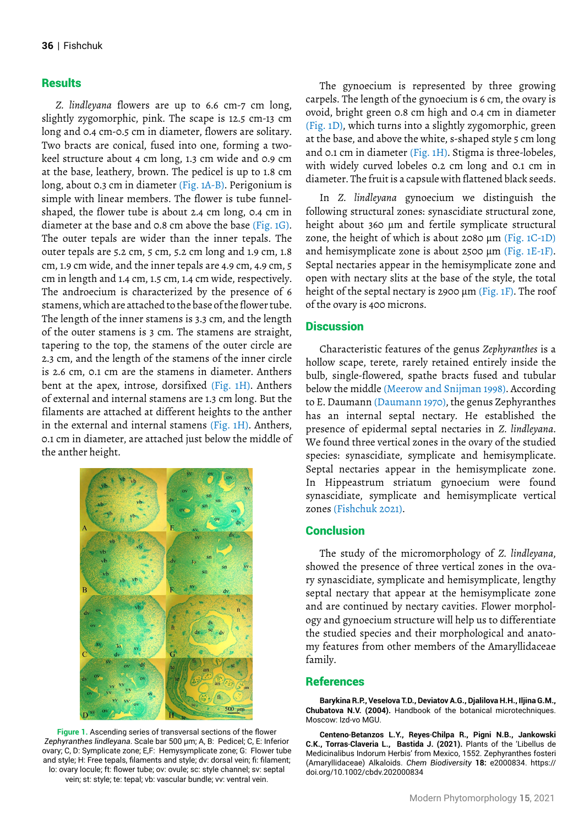## **Results**

*Z. lindleyana* flowers are up to 6.6 cm-7 cm long, slightly zygomorphic, pink. The scape is 12.5 cm-13 cm long and 0.4 cm-0.5 cm in diameter, flowers are solitary. Two bracts are conical, fused into one, forming a twokeel structure about 4 cm long, 1.3 cm wide and 0.9 cm at the base, leathery, brown. The pedicel is up to 1.8 cm long, about 0.3 cm in diameter (Fig. 1A-B). Perigonium is simple with linear members. The flower is tube funnelshaped, the flower tube is about 2.4 cm long, 0.4 cm in diameter at the base and 0.8 cm above the base (Fig. 1G). The outer tepals are wider than the inner tepals. The outer tepals are 5.2 cm, 5 cm, 5.2 cm long and 1.9 cm, 1.8 cm, 1.9 cm wide, and the inner tepals are 4.9 cm, 4.9 cm, 5 cm in length and 1.4 cm, 1.5 cm, 1.4 cm wide, respectively. The androecium is characterized by the presence of 6 stamens, which are attached to the base of the flower tube. The length of the inner stamens is 3.3 cm, and the length of the outer stamens is 3 cm. The stamens are straight, tapering to the top, the stamens of the outer circle are 2.3 cm, and the length of the stamens of the inner circle is 2.6 cm, 0.1 cm are the stamens in diameter. Anthers bent at the apex, introse, dorsifixed (Fig. 1H). Anthers of external and internal stamens are 1.3 cm long. But the filaments are attached at different heights to the anther in the external and internal stamens (Fig. 1H). Anthers, 0.1 cm in diameter, are attached just below the middle of the anther height.



**Figure 1.** Ascending series of transversal sections of the flower *Zephyranthes lindleyana*. Scale bar 500 μm; A, B: Pedicel; C, E: Inferior ovary; C, D: Symplicate zone; E,F: Hemysymplicate zone; G: Flower tube and style; H: Free tepals, filaments and style; dv: dorsal vein; fi: filament; lo: ovary locule; ft: flower tube; ov: ovule; sc: style channel; sv: septal vein; st: style; te: tepal; vb: vascular bundle; vv: ventral vein.

The gynoecium is represented by three growing carpels. The length of the gynoecium is 6 cm, the ovary is ovoid, bright green 0.8 cm high and 0.4 cm in diameter (Fig. 1D), which turns into a slightly zygomorphic, green at the base, and above the white, s-shaped style 5 cm long and 0.1 cm in diameter (Fig. 1H). Stigma is three-lobeles, with widely curved lobeles 0.2 cm long and 0.1 cm in diameter. The fruit is a capsule with flattened black seeds.

In *Z. lindleyana* gynoecium we distinguish the following structural zones: synascidiate structural zone, height about 360 μm and fertile symplicate structural zone, the height of which is about 2080 μm (Fig. 1C-1D) and hemisymplicate zone is about 2500 μm (Fig. 1E-1F). Septal nectaries appear in the hemisymplicate zone and open with nectary slits at the base of the style, the total height of the septal nectary is 2900  $\mu$ m (Fig. 1F). The roof of the ovary is 400 microns.

### **Discussion**

Characteristic features of the genus *Zephyranthes* is a hollow scape, terete, rarely retained entirely inside the bulb, single-flowered, spathe bracts fused and tubular below the middle (Meerow and Snijman 1998). According to E. Daumann (Daumann 1970), the genus Zephyranthes has an internal septal nectary. He established the presence of epidermal septal nectaries in *Z. lindleyana*. We found three vertical zones in the ovary of the studied species: synascidiate, symplicate and hemisymplicate. Septal nectaries appear in the hemisymplicate zone. In Hippeastrum striatum gynoecium were found synascidiate, symplicate and hemisymplicate vertical zones (Fishchuk 2021).

#### **Conclusion**

The study of the micromorphology of *Z. lindleyana*, showed the presence of three vertical zones in the ovary synascidiate, symplicate and hemisymplicate, lengthy septal nectary that appear at the hemisymplicate zone and are continued by nectary cavities. Flower morphology and gynoecium structure will help us to differentiate the studied species and their morphological and anatomy features from other members of the Amaryllidaceae family.

#### References

**Barykina R.P., Veselova T.D., Deviatov A.G., Djalilova H.H., Iljina G.M., Chubatova N.V. (2004).** Handbook of the botanical microtechniques. Moscow: Izd-vo MGU.

**Centeno**‐**Betanzos L.Y., Reyes**‐**Chilpa R., Pigni N.B., Jankowski C.K., Torras**‐**Claveria L., Bastida J. (2021).** Plants of the 'Libellus de Medicinalibus Indorum Herbis' from Mexico, 1552. Zephyranthes fosteri (Amaryllidaceae) Alkaloids. *Chem Biodiversity* **18:** e2000834. [https://](https://doi.org/10.1002/cbdv.202000834) [doi.org/10.1002/cbdv.202000834](https://doi.org/10.1002/cbdv.202000834)